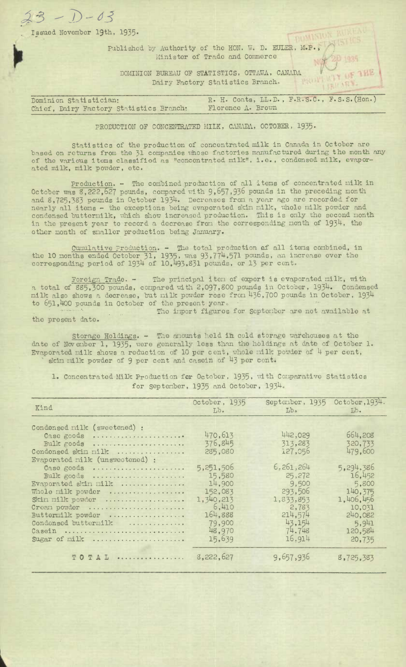Issued November 19th, 1935-

 $23 - D - 03$ 

Published by Authority of the HON. W. D. EULER, M.P., Minister of Trade and Commerce

DOMINION BUREAU OF STATISTICS, OTTAWA, CANADA / Dairy Factory Statistics Branch..

**ATY OF THE** 

THE VELY

**THUMANTI** 

| Dominion Statistician:                                                                                                                                     | R. H. Coats, LL.D., F.R.S.C., F.S.S. (Hon.) |
|------------------------------------------------------------------------------------------------------------------------------------------------------------|---------------------------------------------|
| Chief, Dairy Factory Statistics Branch:<br>the contract of the contract of the contract of the contract of the contract of the contract of the contract of | Florence A. Brown                           |

PRODUCTION OF CONCENTRATED MILK, CANADA, OCTOBER, 1935.

Statistics of the production of concentrated milk in Canada in October are based on returns from the 31 companies whose factories manufactured during the month any of the various items classified, as "concentrated milk", i.e., condensed milk, evaporated milk, milk powder, etc.

Production. - The combined production of all items of concentrated milk in October was 8,222,627 pounds, compared with 9,657,936 pounds in the preceding month and 8,725,383 pounds in October 1934. Decreases from a year ago are recorded for nearly all items - the exceptions being evaporated skin milk, whole milk powder and condensed buttermilk, which show increased production. This is only the second month in the present year to record a decrease from the corresponding month of 1934, the other month of smaller production being January.

 $Cumulative \,$  Production.  $-$  The total production af all items combined, in the 10 months ended October 31, 1935, was 93,774,571 pounds, an increase over the corresponding period of 1934 of 10, <sup>1</sup>493,831 pounds, or 13 per cent.

Foreign Trade. - The principal item of export is evaporated milk, with a total of 885,300 pounds, compared with 2,097,800 pounds in October, 1934. Condensed milk also shows a decrease, but milk powder rose from 1436,700 pounds in October, 1934 to 651,400 pounds in October of the present year.

The import figures for Septonber are not available at the present date.

Storage Holdings. - The anounts hold th cold storage warehouses at the date of November 1, 1935, were generally less than the holdings at date of October 1. Evaporated milk shows a reduction of 10 per cent, whole milk powder of 14 per cent, skim milk powder of 9 per cent and casein of 43 per cent.

1. Concentrated Milk Production for October, 1935, with Comparative Statistics for September, 1935 and October, 1934.

| Kind                                                                                                                                                                                             | October, 1935<br>Lb.                                                                   | September, 1935 October, 1934.<br>Lb. Lb. Lb.                                         |                                                                                       |
|--------------------------------------------------------------------------------------------------------------------------------------------------------------------------------------------------|----------------------------------------------------------------------------------------|---------------------------------------------------------------------------------------|---------------------------------------------------------------------------------------|
| Condensed milk (sweetened) :<br>Case goods<br>Bulk $goods$<br>Condensed skin nilk<br>Evaporated milk (unsweetened) :<br>Case goods<br>Bulk $\gcd$ s<br>Evaporated skin milk<br>Whole milk powder | 470,613<br>376,845<br>285,080<br>5,251,506<br>15,580<br>14,900<br>152,083<br>1,340,213 | 442,029<br>313,283<br>127,056<br>6,261,264<br>25,272<br>9,500<br>293,506<br>1,833,853 | 664,208<br>320,733<br>479,600<br>5,294.386<br>16,452<br>5,800<br>140,375<br>1,406,456 |
| Skin nilk powder<br>Crean powder<br>Buttermilk powder<br>Condensed buttermilk<br>Casein<br>Sugar of milk                                                                                         | 6,410<br>164,888<br>79,900<br>48,970<br>15,639                                         | 2,783<br>214,574<br>43,154<br>74.748<br>16,914                                        | 10,031<br>240,082<br>5,941<br>120,584<br>20,735                                       |
| $TOTAL$ 8,222,627                                                                                                                                                                                |                                                                                        | 9,657,936                                                                             | 8,725,383                                                                             |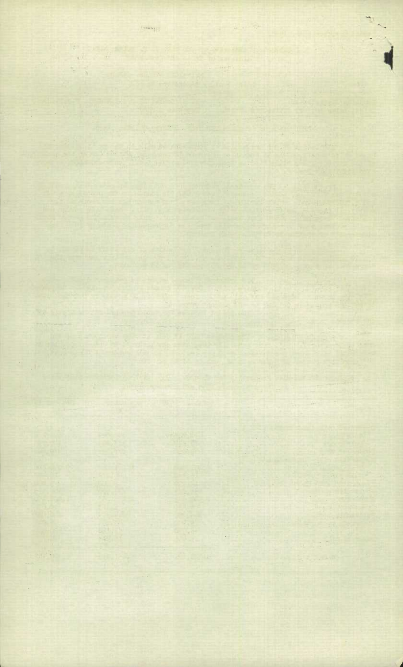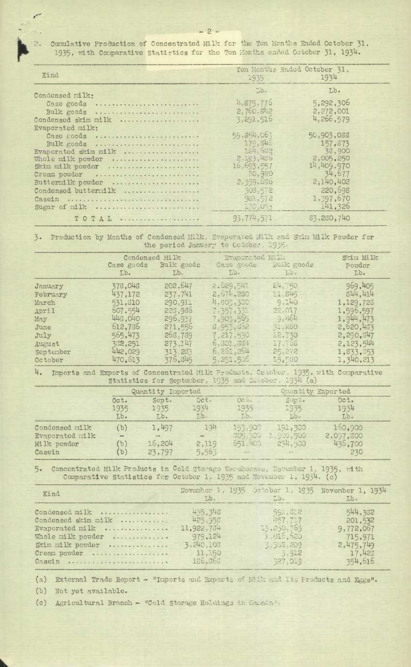Cumulative Production of Concentrated Milk for the Ten Months Ended October 31, 1935, with Comparative Statistics for the Ten Months ended October 31, 1934.

| Kind                                      | 1935                    | Ton Month, Ended October 31,<br>1934 |
|-------------------------------------------|-------------------------|--------------------------------------|
| Condonsed milk:                           | $-55$                   | Lb.                                  |
| Case goods                                | 4.875.776               | 5,292,306                            |
| Bulk goods                                | 2,760.812               | 2,272,001                            |
| Condensed skim milk                       | 3,291,516               | 4,266,579                            |
| Evaporated milk:                          |                         |                                      |
| Case goods                                | 59,854,063              | 50,903,088                           |
| Bulk goods                                | 179.546                 | 157,873                              |
| Evaporated skim milk                      | 124,582                 | 38,900                               |
| Whole milk powder                         | 2.193.486<br>16,693,557 | 2,005,250<br>14,409,970              |
| Skim milk powder                          | 20,920                  | 34,677                               |
| Cream powder                              | 2, 559, 656             | 2,140,402                            |
| Buttermilk powder<br>Condensed butternilk | 303.572                 | 220,698                              |
| Casein                                    | 981.572                 | 1.397,670                            |
| Sugar of milk                             | 130,053                 | 141,326                              |
|                                           |                         |                                      |
| $TOTAL$                                   | 93,774,571              | 83,230,740                           |

3. Production by Months of Condensed Milk, Evaporated Milk and Skin Milk Powder for the period January to October, 1935.

|           | Condensed Milk<br>Lb. | Case goods Bulk goods<br>Lb <sub>o</sub> | Evaporatod Milk<br>$\mathbf{L} \mathbf{D} \cdot$ | Case goods Euik goods<br>$\overline{L}D$ | Skim Milk<br>Powder<br>Lb. |
|-----------|-----------------------|------------------------------------------|--------------------------------------------------|------------------------------------------|----------------------------|
| January   | 378,048               | 202,647                                  | 2.629,541                                        | 24,750                                   | 969,405                    |
| February  | 437,172               | 237,741                                  | 2,671,230                                        | 11,845                                   | 844.414                    |
| March     | 531,310               | 290,911                                  | 4.803,500                                        | 9,140                                    | 1,129,723                  |
| April     | 607.554               | 223,936                                  | 7.357.532                                        | 22,017                                   | 1,596,597                  |
| May       | 445,040               | 296,937                                  | 7,903,555                                        | 9.464                                    | 1,944,473                  |
| June      | 612,736               | 271,556                                  | 8.953.352                                        | 31,250                                   | 2,620,433                  |
| July      | 565,473               | 268,739                                  | 7,217,530                                        | 32,730                                   | 2,290,547                  |
| August    | 332,251               | 273,147                                  | 6,301,334                                        | 17,768                                   | 2,123,544                  |
| September | 442,029               | 313.283                                  | 6,251,264                                        | 25,272                                   | 1,833,853                  |
| October   | 470,613               | 376.845                                  | 5,251,506                                        | 15,580                                   | 1,340,213                  |

Imports and Exports of Concentrated Milk Products, October, 1935, with Comparative 4. Statistics for September, 1935 and October, 1934 (a)

|                                                            | Quantity Imported                                    |                                             |                              | Quantity Exported                        |                                                         |                                        |
|------------------------------------------------------------|------------------------------------------------------|---------------------------------------------|------------------------------|------------------------------------------|---------------------------------------------------------|----------------------------------------|
|                                                            | Oct.<br>1935<br>$Lb$ .                               | Sept.<br>1935<br>Lb.                        | Oct.<br>1934<br>$T, b -$     | $OC\ddot{v}$<br>1935<br>$\overline{J}$ . | S<br>1935<br>Lb.                                        | Oct.<br>1934<br>Lb.                    |
| Condensed milk<br>Evaporated milk<br>Milk powder<br>Casein | (Ъ)<br>$\qquad \qquad \longrightarrow$<br>(b)<br>(b) | 1,497<br>$e$ - $\alpha$<br>16.204<br>23,797 | 194<br>me<br>2, 119<br>5,563 | 153,900<br>1.14                          | 191,300<br>665-500 1.906,500<br>651,400 234,500<br>$ -$ | 160,900<br>2,097,500<br>436,700<br>230 |

Concentrated Milk Products in Cold Storage Warehouses, November 1, 1935, with  $5 -$ Comparative Statistics for October 1, 1935 and November 1, 1934. (c)

| Kind                     | November 1, 1935 October 1, 1935 November 1, 1934<br>$\mathbb{L}b$ <sub>2</sub> | Lb.        | $Lb$ .    |
|--------------------------|---------------------------------------------------------------------------------|------------|-----------|
| Condensed milk           | 435.348                                                                         | 591.812    | 544,382   |
| Condensed skim milk      | 425.358                                                                         | 457.717    | 201,532   |
| Evaporated milk $\ldots$ | 11,922,734                                                                      | 15,250.763 | 9,772,067 |
| Whole milk powder        | 979,124                                                                         | 1,016,520  | 715,971   |
| Skim milk powder         | 3.240,108                                                                       | 3.562,209  | 2,475,749 |
| Cream powder             | 11,150                                                                          | 5.912      | 17,423    |
| Casein                   | 186,566                                                                         | 727.019    | 354,616   |

(a) External Trade Report - "Inports and Exports of Mill: and lits Products and Eggs".

(b) Not yet available.

(c) Agricultural Branch - "Cold Storage Holdings in Canada".

 $2.$ 

 $\epsilon$